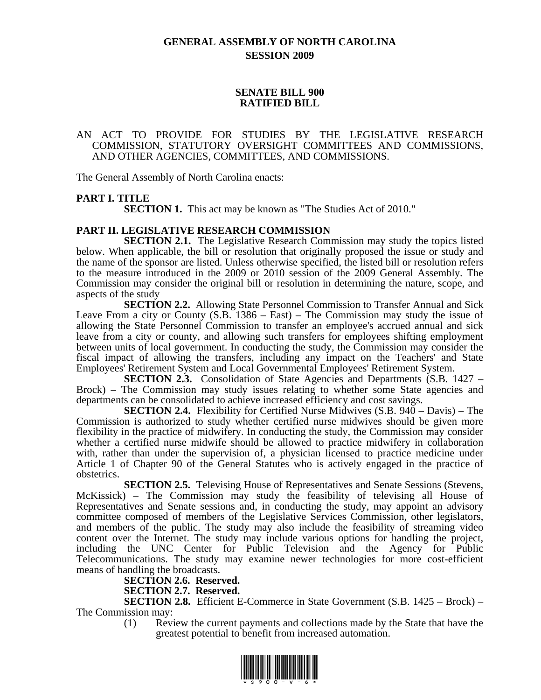### **GENERAL ASSEMBLY OF NORTH CAROLINA SESSION 2009**

#### **SENATE BILL 900 RATIFIED BILL**

#### AN ACT TO PROVIDE FOR STUDIES BY THE LEGISLATIVE RESEARCH COMMISSION, STATUTORY OVERSIGHT COMMITTEES AND COMMISSIONS, AND OTHER AGENCIES, COMMITTEES, AND COMMISSIONS.

The General Assembly of North Carolina enacts:

### **PART I. TITLE**

**SECTION 1.** This act may be known as "The Studies Act of 2010."

#### **PART II. LEGISLATIVE RESEARCH COMMISSION**

**SECTION 2.1.** The Legislative Research Commission may study the topics listed below. When applicable, the bill or resolution that originally proposed the issue or study and the name of the sponsor are listed. Unless otherwise specified, the listed bill or resolution refers to the measure introduced in the 2009 or 2010 session of the 2009 General Assembly. The Commission may consider the original bill or resolution in determining the nature, scope, and aspects of the study

**SECTION 2.2.** Allowing State Personnel Commission to Transfer Annual and Sick Leave From a city or County (S.B. 1386 – East) – The Commission may study the issue of allowing the State Personnel Commission to transfer an employee's accrued annual and sick leave from a city or county, and allowing such transfers for employees shifting employment between units of local government. In conducting the study, the Commission may consider the fiscal impact of allowing the transfers, including any impact on the Teachers' and State Employees' Retirement System and Local Governmental Employees' Retirement System.

**SECTION 2.3.** Consolidation of State Agencies and Departments (S.B. 1427 – Brock) – The Commission may study issues relating to whether some State agencies and departments can be consolidated to achieve increased efficiency and cost savings.

**SECTION 2.4.** Flexibility for Certified Nurse Midwives (S.B. 940 – Davis) – The Commission is authorized to study whether certified nurse midwives should be given more flexibility in the practice of midwifery. In conducting the study, the Commission may consider whether a certified nurse midwife should be allowed to practice midwifery in collaboration with, rather than under the supervision of, a physician licensed to practice medicine under Article 1 of Chapter 90 of the General Statutes who is actively engaged in the practice of obstetrics.

**SECTION 2.5.** Televising House of Representatives and Senate Sessions (Stevens, McKissick) – The Commission may study the feasibility of televising all House of Representatives and Senate sessions and, in conducting the study, may appoint an advisory committee composed of members of the Legislative Services Commission, other legislators, and members of the public. The study may also include the feasibility of streaming video content over the Internet. The study may include various options for handling the project, including the UNC Center for Public Television and the Agency for Public Telecommunications. The study may examine newer technologies for more cost-efficient means of handling the broadcasts.

**SECTION 2.6. Reserved.**

**SECTION 2.7. Reserved.**

**SECTION 2.8.** Efficient E-Commerce in State Government (S.B. 1425 – Brock) – The Commission may:

(1) Review the current payments and collections made by the State that have the greatest potential to benefit from increased automation.

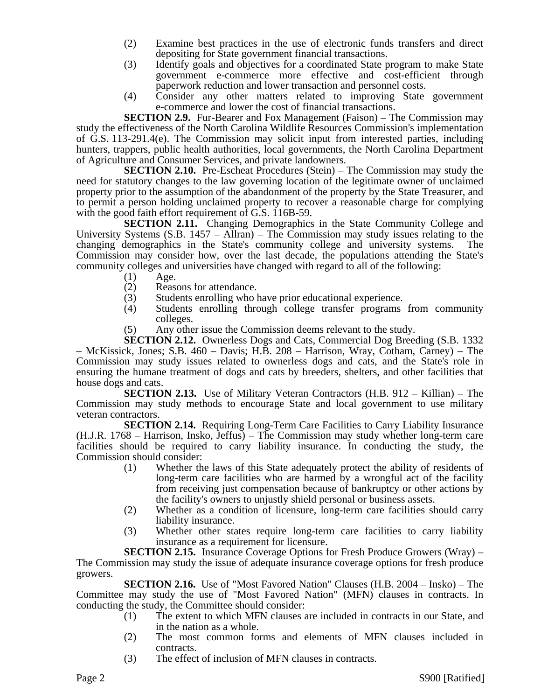- (2) Examine best practices in the use of electronic funds transfers and direct depositing for State government financial transactions.
- (3) Identify goals and objectives for a coordinated State program to make State government e-commerce more effective and cost-efficient through paperwork reduction and lower transaction and personnel costs.
- (4) Consider any other matters related to improving State government e-commerce and lower the cost of financial transactions.

**SECTION 2.9.** Fur-Bearer and Fox Management (Faison) – The Commission may study the effectiveness of the North Carolina Wildlife Resources Commission's implementation of G.S. 113-291.4(e). The Commission may solicit input from interested parties, including hunters, trappers, public health authorities, local governments, the North Carolina Department of Agriculture and Consumer Services, and private landowners.

**SECTION 2.10.** Pre-Escheat Procedures (Stein) – The Commission may study the need for statutory changes to the law governing location of the legitimate owner of unclaimed property prior to the assumption of the abandonment of the property by the State Treasurer, and to permit a person holding unclaimed property to recover a reasonable charge for complying with the good faith effort requirement of G.S. 116B-59.

**SECTION 2.11.** Changing Demographics in the State Community College and University Systems  $(S.B. 1457 - Allran)$  – The Commission may study issues relating to the changing demographics in the State's community college and university systems. The Commission may consider how, over the last decade, the populations attending the State's community colleges and universities have changed with regard to all of the following:

- (1) Age.
- 
- (2) Reasons for attendance.<br>(3) Students enrolling who l Students enrolling who have prior educational experience.
- (4) Students enrolling through college transfer programs from community colleges.
- (5) Any other issue the Commission deems relevant to the study.

**SECTION 2.12.** Ownerless Dogs and Cats, Commercial Dog Breeding (S.B. 1332) – McKissick, Jones; S.B. 460 – Davis; H.B. 208 – Harrison, Wray, Cotham, Carney) – The Commission may study issues related to ownerless dogs and cats, and the State's role in ensuring the humane treatment of dogs and cats by breeders, shelters, and other facilities that house dogs and cats.

**SECTION 2.13.** Use of Military Veteran Contractors (H.B. 912 – Killian) – The Commission may study methods to encourage State and local government to use military veteran contractors.

**SECTION 2.14.** Requiring Long-Term Care Facilities to Carry Liability Insurance (H.J.R. 1768 – Harrison, Insko, Jeffus) – The Commission may study whether long-term care facilities should be required to carry liability insurance. In conducting the study, the Commission should consider:

- (1) Whether the laws of this State adequately protect the ability of residents of long-term care facilities who are harmed by a wrongful act of the facility from receiving just compensation because of bankruptcy or other actions by the facility's owners to unjustly shield personal or business assets.
- (2) Whether as a condition of licensure, long-term care facilities should carry liability insurance.
- (3) Whether other states require long-term care facilities to carry liability insurance as a requirement for licensure.

**SECTION 2.15.** Insurance Coverage Options for Fresh Produce Growers (Wray) – The Commission may study the issue of adequate insurance coverage options for fresh produce growers.

**SECTION 2.16.** Use of "Most Favored Nation" Clauses (H.B. 2004 – Insko) – The Committee may study the use of "Most Favored Nation" (MFN) clauses in contracts. In conducting the study, the Committee should consider:

- (1) The extent to which MFN clauses are included in contracts in our State, and in the nation as a whole.
- (2) The most common forms and elements of MFN clauses included in contracts.
- (3) The effect of inclusion of MFN clauses in contracts.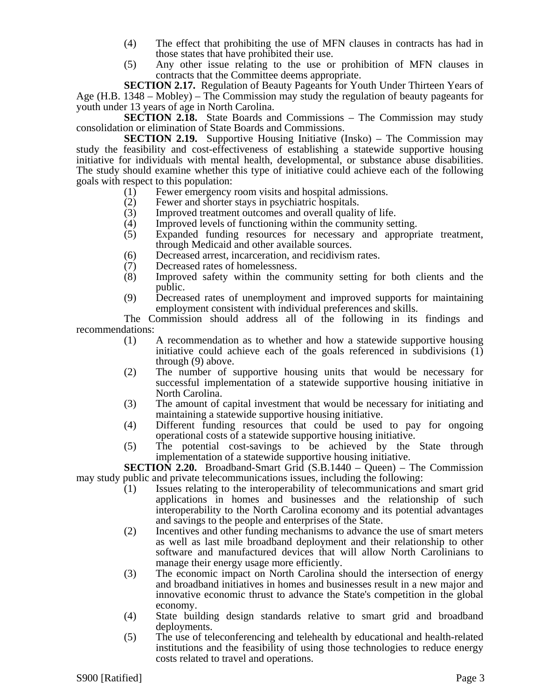- (4) The effect that prohibiting the use of MFN clauses in contracts has had in those states that have prohibited their use.
- (5) Any other issue relating to the use or prohibition of MFN clauses in contracts that the Committee deems appropriate.

**SECTION 2.17.** Regulation of Beauty Pageants for Youth Under Thirteen Years of Age (H.B. 1348 – Mobley) – The Commission may study the regulation of beauty pageants for youth under 13 years of age in North Carolina.

**SECTION 2.18.** State Boards and Commissions – The Commission may study consolidation or elimination of State Boards and Commissions.

**SECTION 2.19.** Supportive Housing Initiative (Insko) – The Commission may study the feasibility and cost-effectiveness of establishing a statewide supportive housing initiative for individuals with mental health, developmental, or substance abuse disabilities. The study should examine whether this type of initiative could achieve each of the following goals with respect to this population:

- (1) Fewer emergency room visits and hospital admissions.
- (2) Fewer and shorter stays in psychiatric hospitals.
- (3) Improved treatment outcomes and overall quality of life.<br>
(4) Improved levels of functioning within the community set
- (4) Improved levels of functioning within the community setting.<br>(5) Expanded funding resources for necessary and appropr
- Expanded funding resources for necessary and appropriate treatment, through Medicaid and other available sources.
- (6) Decreased arrest, incarceration, and recidivism rates.
- (7) Decreased rates of homelessness.<br>(8) Improved safety within the cor
- Improved safety within the community setting for both clients and the public.
- (9) Decreased rates of unemployment and improved supports for maintaining employment consistent with individual preferences and skills.

The Commission should address all of the following in its findings and recommendations:

- (1) A recommendation as to whether and how a statewide supportive housing initiative could achieve each of the goals referenced in subdivisions (1) through (9) above.
- (2) The number of supportive housing units that would be necessary for successful implementation of a statewide supportive housing initiative in North Carolina.
- (3) The amount of capital investment that would be necessary for initiating and maintaining a statewide supportive housing initiative.
- (4) Different funding resources that could be used to pay for ongoing operational costs of a statewide supportive housing initiative.
- (5) The potential cost-savings to be achieved by the State through implementation of a statewide supportive housing initiative.

**SECTION 2.20.** Broadband-Smart Grid (S.B.1440 – Queen) – The Commission may study public and private telecommunications issues, including the following:

- (1) Issues relating to the interoperability of telecommunications and smart grid applications in homes and businesses and the relationship of such interoperability to the North Carolina economy and its potential advantages and savings to the people and enterprises of the State.
- (2) Incentives and other funding mechanisms to advance the use of smart meters as well as last mile broadband deployment and their relationship to other software and manufactured devices that will allow North Carolinians to manage their energy usage more efficiently.
- (3) The economic impact on North Carolina should the intersection of energy and broadband initiatives in homes and businesses result in a new major and innovative economic thrust to advance the State's competition in the global economy.
- (4) State building design standards relative to smart grid and broadband deployments.
- (5) The use of teleconferencing and telehealth by educational and health-related institutions and the feasibility of using those technologies to reduce energy costs related to travel and operations.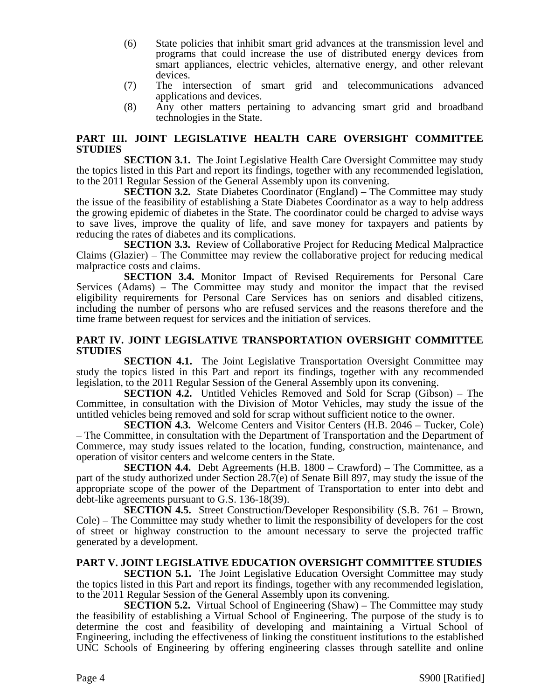- (6) State policies that inhibit smart grid advances at the transmission level and programs that could increase the use of distributed energy devices from smart appliances, electric vehicles, alternative energy, and other relevant devices.
- (7) The intersection of smart grid and telecommunications advanced applications and devices.
- (8) Any other matters pertaining to advancing smart grid and broadband technologies in the State.

#### **PART III. JOINT LEGISLATIVE HEALTH CARE OVERSIGHT COMMITTEE STUDIES**

**SECTION 3.1.** The Joint Legislative Health Care Oversight Committee may study the topics listed in this Part and report its findings, together with any recommended legislation, to the 2011 Regular Session of the General Assembly upon its convening.

**SECTION 3.2.** State Diabetes Coordinator (England) – The Committee may study the issue of the feasibility of establishing a State Diabetes Coordinator as a way to help address the growing epidemic of diabetes in the State. The coordinator could be charged to advise ways to save lives, improve the quality of life, and save money for taxpayers and patients by reducing the rates of diabetes and its complications.

**SECTION 3.3.** Review of Collaborative Project for Reducing Medical Malpractice Claims (Glazier) – The Committee may review the collaborative project for reducing medical malpractice costs and claims.

**SECTION 3.4.** Monitor Impact of Revised Requirements for Personal Care Services (Adams) – The Committee may study and monitor the impact that the revised eligibility requirements for Personal Care Services has on seniors and disabled citizens, including the number of persons who are refused services and the reasons therefore and the time frame between request for services and the initiation of services.

#### **PART IV. JOINT LEGISLATIVE TRANSPORTATION OVERSIGHT COMMITTEE STUDIES**

**SECTION 4.1.** The Joint Legislative Transportation Oversight Committee may study the topics listed in this Part and report its findings, together with any recommended legislation, to the 2011 Regular Session of the General Assembly upon its convening.

**SECTION 4.2.** Untitled Vehicles Removed and Sold for Scrap (Gibson) – The Committee, in consultation with the Division of Motor Vehicles, may study the issue of the untitled vehicles being removed and sold for scrap without sufficient notice to the owner.

**SECTION 4.3.** Welcome Centers and Visitor Centers (H.B. 2046 – Tucker, Cole) – The Committee, in consultation with the Department of Transportation and the Department of Commerce, may study issues related to the location, funding, construction, maintenance, and operation of visitor centers and welcome centers in the State.

**SECTION 4.4.** Debt Agreements (H.B. 1800 – Crawford) – The Committee, as a part of the study authorized under Section 28.7(e) of Senate Bill 897, may study the issue of the appropriate scope of the power of the Department of Transportation to enter into debt and debt-like agreements pursuant to G.S. 136-18(39).

**SECTION 4.5.** Street Construction/Developer Responsibility (S.B. 761 – Brown, Cole) – The Committee may study whether to limit the responsibility of developers for the cost of street or highway construction to the amount necessary to serve the projected traffic generated by a development.

#### **PART V. JOINT LEGISLATIVE EDUCATION OVERSIGHT COMMITTEE STUDIES**

**SECTION 5.1.** The Joint Legislative Education Oversight Committee may study the topics listed in this Part and report its findings, together with any recommended legislation, to the 2011 Regular Session of the General Assembly upon its convening.

**SECTION 5.2.** Virtual School of Engineering (Shaw) **–** The Committee may study the feasibility of establishing a Virtual School of Engineering. The purpose of the study is to determine the cost and feasibility of developing and maintaining a Virtual School of Engineering, including the effectiveness of linking the constituent institutions to the established UNC Schools of Engineering by offering engineering classes through satellite and online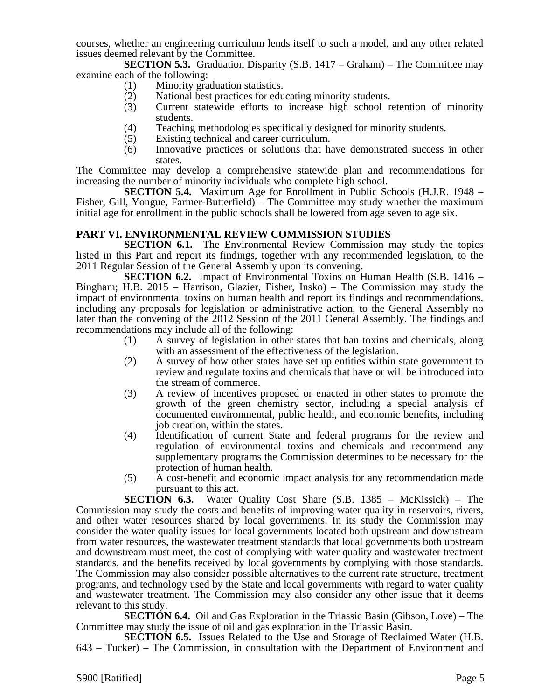courses, whether an engineering curriculum lends itself to such a model, and any other related issues deemed relevant by the Committee.

**SECTION 5.3.** Graduation Disparity (S.B. 1417 – Graham) – The Committee may examine each of the following:

- (1) Minority graduation statistics.
- (2) National best practices for educating minority students.<br>
(3) Current statewide efforts to increase high school r
- Current statewide efforts to increase high school retention of minority students.
- (4) Teaching methodologies specifically designed for minority students.
- (5) Existing technical and career curriculum.
- (6) Innovative practices or solutions that have demonstrated success in other states.

The Committee may develop a comprehensive statewide plan and recommendations for increasing the number of minority individuals who complete high school.

**SECTION 5.4.** Maximum Age for Enrollment in Public Schools (H.J.R. 1948 – Fisher, Gill, Yongue, Farmer-Butterfield) – The Committee may study whether the maximum initial age for enrollment in the public schools shall be lowered from age seven to age six.

#### **PART VI. ENVIRONMENTAL REVIEW COMMISSION STUDIES**

**SECTION 6.1.** The Environmental Review Commission may study the topics listed in this Part and report its findings, together with any recommended legislation, to the 2011 Regular Session of the General Assembly upon its convening.

**SECTION 6.2.** Impact of Environmental Toxins on Human Health (S.B. 1416 – Bingham; H.B. 2015 – Harrison, Glazier, Fisher, Insko) – The Commission may study the impact of environmental toxins on human health and report its findings and recommendations, including any proposals for legislation or administrative action, to the General Assembly no later than the convening of the 2012 Session of the 2011 General Assembly. The findings and recommendations may include all of the following:

- (1) A survey of legislation in other states that ban toxins and chemicals, along with an assessment of the effectiveness of the legislation.
- (2) A survey of how other states have set up entities within state government to review and regulate toxins and chemicals that have or will be introduced into the stream of commerce.
- (3) A review of incentives proposed or enacted in other states to promote the growth of the green chemistry sector, including a special analysis of documented environmental, public health, and economic benefits, including job creation, within the states.
- (4) Identification of current State and federal programs for the review and regulation of environmental toxins and chemicals and recommend any supplementary programs the Commission determines to be necessary for the protection of human health.
- (5) A cost-benefit and economic impact analysis for any recommendation made pursuant to this act.

**SECTION 6.3.** Water Quality Cost Share (S.B. 1385 – McKissick) – The Commission may study the costs and benefits of improving water quality in reservoirs, rivers, and other water resources shared by local governments. In its study the Commission may consider the water quality issues for local governments located both upstream and downstream from water resources, the wastewater treatment standards that local governments both upstream and downstream must meet, the cost of complying with water quality and wastewater treatment standards, and the benefits received by local governments by complying with those standards. The Commission may also consider possible alternatives to the current rate structure, treatment programs, and technology used by the State and local governments with regard to water quality and wastewater treatment. The Commission may also consider any other issue that it deems relevant to this study.

**SECTION 6.4.** Oil and Gas Exploration in the Triassic Basin (Gibson, Love) – The Committee may study the issue of oil and gas exploration in the Triassic Basin.

**SECTION 6.5.** Issues Related to the Use and Storage of Reclaimed Water (H.B. 643 – Tucker) – The Commission, in consultation with the Department of Environment and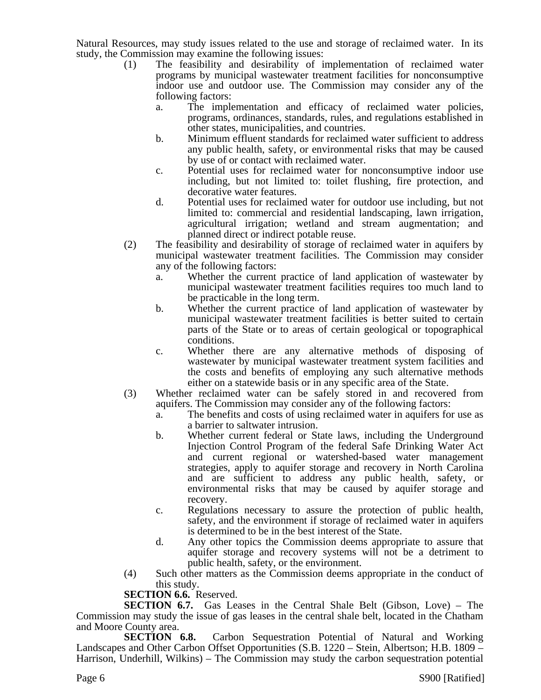Natural Resources, may study issues related to the use and storage of reclaimed water. In its study, the Commission may examine the following issues:

- (1) The feasibility and desirability of implementation of reclaimed water programs by municipal wastewater treatment facilities for nonconsumptive indoor use and outdoor use. The Commission may consider any of the following factors:
	- a. The implementation and efficacy of reclaimed water policies, programs, ordinances, standards, rules, and regulations established in other states, municipalities, and countries.
	- b. Minimum effluent standards for reclaimed water sufficient to address any public health, safety, or environmental risks that may be caused by use of or contact with reclaimed water.
	- c. Potential uses for reclaimed water for nonconsumptive indoor use including, but not limited to: toilet flushing, fire protection, and decorative water features.
	- d. Potential uses for reclaimed water for outdoor use including, but not limited to: commercial and residential landscaping, lawn irrigation, agricultural irrigation; wetland and stream augmentation; and planned direct or indirect potable reuse.
- (2) The feasibility and desirability of storage of reclaimed water in aquifers by municipal wastewater treatment facilities. The Commission may consider any of the following factors:
	- a. Whether the current practice of land application of wastewater by municipal wastewater treatment facilities requires too much land to be practicable in the long term.
	- b. Whether the current practice of land application of wastewater by municipal wastewater treatment facilities is better suited to certain parts of the State or to areas of certain geological or topographical conditions.
	- c. Whether there are any alternative methods of disposing of wastewater by municipal wastewater treatment system facilities and the costs and benefits of employing any such alternative methods either on a statewide basis or in any specific area of the State.
- (3) Whether reclaimed water can be safely stored in and recovered from aquifers. The Commission may consider any of the following factors:
	- a. The benefits and costs of using reclaimed water in aquifers for use as a barrier to saltwater intrusion.
	- b. Whether current federal or State laws, including the Underground Injection Control Program of the federal Safe Drinking Water Act and current regional or watershed-based water management strategies, apply to aquifer storage and recovery in North Carolina and are sufficient to address any public health, safety, or environmental risks that may be caused by aquifer storage and recovery.
	- c. Regulations necessary to assure the protection of public health, safety, and the environment if storage of reclaimed water in aquifers is determined to be in the best interest of the State.
	- d. Any other topics the Commission deems appropriate to assure that aquifer storage and recovery systems will not be a detriment to public health, safety, or the environment.
- (4) Such other matters as the Commission deems appropriate in the conduct of this study.

## **SECTION 6.6.** Reserved.

**SECTION 6.7.** Gas Leases in the Central Shale Belt (Gibson, Love) – The Commission may study the issue of gas leases in the central shale belt, located in the Chatham and Moore County area.

**SECTION 6.8.** Carbon Sequestration Potential of Natural and Working Landscapes and Other Carbon Offset Opportunities (S.B. 1220 – Stein, Albertson; H.B. 1809 – Harrison, Underhill, Wilkins) – The Commission may study the carbon sequestration potential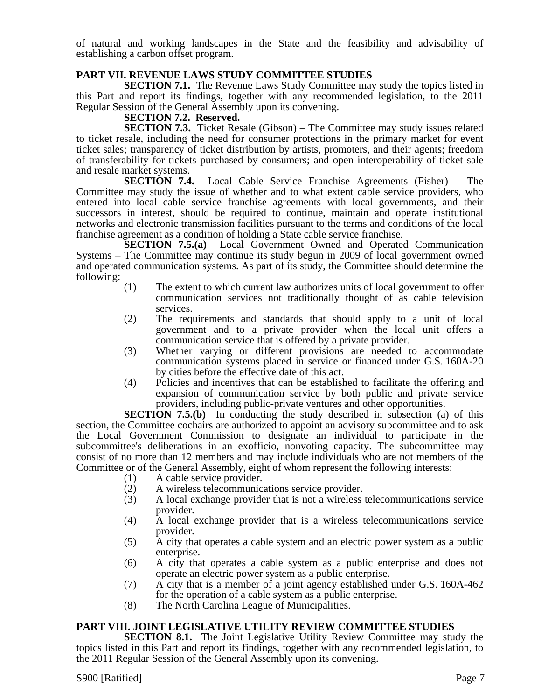of natural and working landscapes in the State and the feasibility and advisability of establishing a carbon offset program.

#### **PART VII. REVENUE LAWS STUDY COMMITTEE STUDIES**

**SECTION 7.1.** The Revenue Laws Study Committee may study the topics listed in this Part and report its findings, together with any recommended legislation, to the 2011 Regular Session of the General Assembly upon its convening.

#### **SECTION 7.2. Reserved.**

**SECTION 7.3.** Ticket Resale (Gibson) – The Committee may study issues related to ticket resale, including the need for consumer protections in the primary market for event ticket sales; transparency of ticket distribution by artists, promoters, and their agents; freedom of transferability for tickets purchased by consumers; and open interoperability of ticket sale and resale market systems.

**SECTION 7.4.** Local Cable Service Franchise Agreements (Fisher) – The Committee may study the issue of whether and to what extent cable service providers, who entered into local cable service franchise agreements with local governments, and their successors in interest, should be required to continue, maintain and operate institutional networks and electronic transmission facilities pursuant to the terms and conditions of the local franchise agreement as a condition of holding a State cable service franchise.

**SECTION 7.5.(a)** Local Government Owned and Operated Communication Systems – The Committee may continue its study begun in 2009 of local government owned and operated communication systems. As part of its study, the Committee should determine the following:

- (1) The extent to which current law authorizes units of local government to offer communication services not traditionally thought of as cable television services.
- (2) The requirements and standards that should apply to a unit of local government and to a private provider when the local unit offers a communication service that is offered by a private provider.
- (3) Whether varying or different provisions are needed to accommodate communication systems placed in service or financed under G.S. 160A-20 by cities before the effective date of this act.
- (4) Policies and incentives that can be established to facilitate the offering and expansion of communication service by both public and private service providers, including public-private ventures and other opportunities.

**SECTION 7.5.(b)** In conducting the study described in subsection (a) of this section, the Committee cochairs are authorized to appoint an advisory subcommittee and to ask the Local Government Commission to designate an individual to participate in the subcommittee's deliberations in an exofficio, nonvoting capacity. The subcommittee may consist of no more than 12 members and may include individuals who are not members of the Committee or of the General Assembly, eight of whom represent the following interests:

- (1) A cable service provider.
- (2) A wireless telecommunications service provider.
- (3) A local exchange provider that is not a wireless telecommunications service provider.
- (4) A local exchange provider that is a wireless telecommunications service provider.
- (5) A city that operates a cable system and an electric power system as a public enterprise.
- (6) A city that operates a cable system as a public enterprise and does not operate an electric power system as a public enterprise.
- (7) A city that is a member of a joint agency established under G.S. 160A-462 for the operation of a cable system as a public enterprise.
- (8) The North Carolina League of Municipalities.

#### **PART VIII. JOINT LEGISLATIVE UTILITY REVIEW COMMITTEE STUDIES**

**SECTION 8.1.** The Joint Legislative Utility Review Committee may study the topics listed in this Part and report its findings, together with any recommended legislation, to the 2011 Regular Session of the General Assembly upon its convening.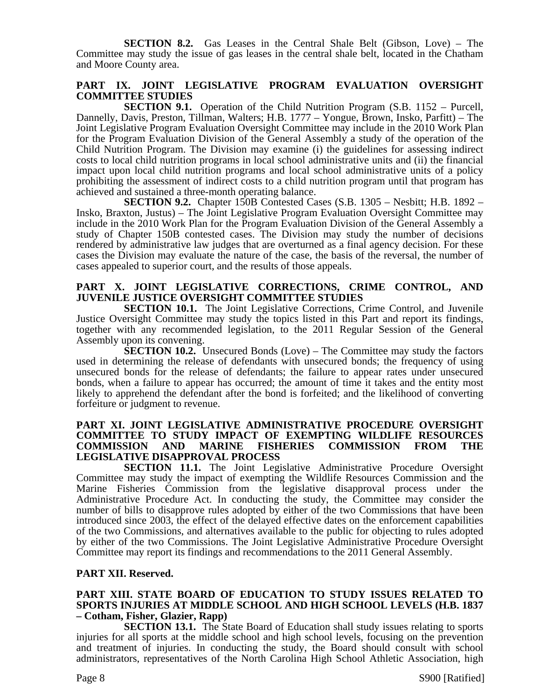**SECTION 8.2.** Gas Leases in the Central Shale Belt (Gibson, Love) – The Committee may study the issue of gas leases in the central shale belt, located in the Chatham and Moore County area.

#### **PART IX. JOINT LEGISLATIVE PROGRAM EVALUATION OVERSIGHT COMMITTEE STUDIES**

**SECTION 9.1.** Operation of the Child Nutrition Program (S.B. 1152 – Purcell, Dannelly, Davis, Preston, Tillman, Walters; H.B. 1777 – Yongue, Brown, Insko, Parfitt) – The Joint Legislative Program Evaluation Oversight Committee may include in the 2010 Work Plan for the Program Evaluation Division of the General Assembly a study of the operation of the Child Nutrition Program. The Division may examine (i) the guidelines for assessing indirect costs to local child nutrition programs in local school administrative units and (ii) the financial impact upon local child nutrition programs and local school administrative units of a policy prohibiting the assessment of indirect costs to a child nutrition program until that program has achieved and sustained a three-month operating balance.

**SECTION 9.2.** Chapter 150B Contested Cases (S.B. 1305 – Nesbitt; H.B. 1892 – Insko, Braxton, Justus) – The Joint Legislative Program Evaluation Oversight Committee may include in the 2010 Work Plan for the Program Evaluation Division of the General Assembly a study of Chapter 150B contested cases. The Division may study the number of decisions rendered by administrative law judges that are overturned as a final agency decision. For these cases the Division may evaluate the nature of the case, the basis of the reversal, the number of cases appealed to superior court, and the results of those appeals.

#### **PART X. JOINT LEGISLATIVE CORRECTIONS, CRIME CONTROL, AND JUVENILE JUSTICE OVERSIGHT COMMITTEE STUDIES**

**SECTION 10.1.** The Joint Legislative Corrections, Crime Control, and Juvenile Justice Oversight Committee may study the topics listed in this Part and report its findings, together with any recommended legislation, to the 2011 Regular Session of the General Assembly upon its convening.

**SECTION 10.2.** Unsecured Bonds (Love) – The Committee may study the factors used in determining the release of defendants with unsecured bonds; the frequency of using unsecured bonds for the release of defendants; the failure to appear rates under unsecured bonds, when a failure to appear has occurred; the amount of time it takes and the entity most likely to apprehend the defendant after the bond is forfeited; and the likelihood of converting forfeiture or judgment to revenue.

#### **PART XI. JOINT LEGISLATIVE ADMINISTRATIVE PROCEDURE OVERSIGHT COMMITTEE TO STUDY IMPACT OF EXEMPTING WILDLIFE RESOURCES COMMISSION AND MARINE FISHERIES COMMISSION FROM THE LEGISLATIVE DISAPPROVAL PROCESS**

**SECTION 11.1.** The Joint Legislative Administrative Procedure Oversight Committee may study the impact of exempting the Wildlife Resources Commission and the Marine Fisheries Commission from the legislative disapproval process under the Administrative Procedure Act. In conducting the study, the Committee may consider the number of bills to disapprove rules adopted by either of the two Commissions that have been introduced since 2003, the effect of the delayed effective dates on the enforcement capabilities of the two Commissions, and alternatives available to the public for objecting to rules adopted by either of the two Commissions. The Joint Legislative Administrative Procedure Oversight Committee may report its findings and recommendations to the 2011 General Assembly.

#### **PART XII. Reserved.**

#### **PART XIII. STATE BOARD OF EDUCATION TO STUDY ISSUES RELATED TO SPORTS INJURIES AT MIDDLE SCHOOL AND HIGH SCHOOL LEVELS (H.B. 1837 – Cotham, Fisher, Glazier, Rapp)**

**SECTION 13.1.** The State Board of Education shall study issues relating to sports injuries for all sports at the middle school and high school levels, focusing on the prevention and treatment of injuries. In conducting the study, the Board should consult with school administrators, representatives of the North Carolina High School Athletic Association, high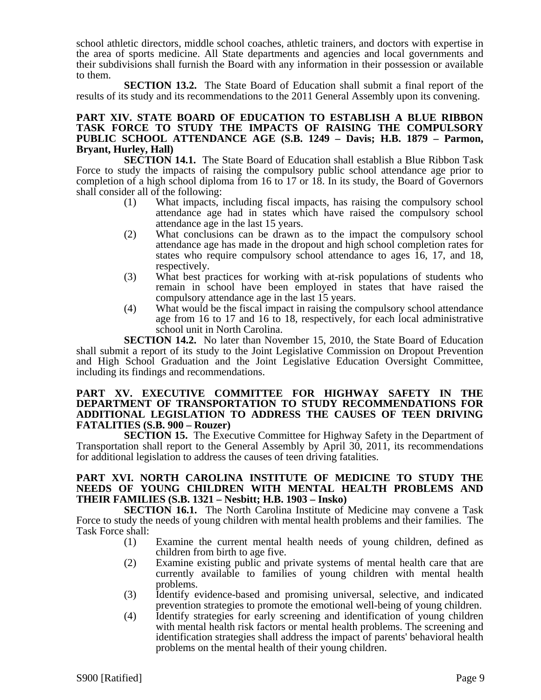school athletic directors, middle school coaches, athletic trainers, and doctors with expertise in the area of sports medicine. All State departments and agencies and local governments and their subdivisions shall furnish the Board with any information in their possession or available to them.

**SECTION 13.2.** The State Board of Education shall submit a final report of the results of its study and its recommendations to the 2011 General Assembly upon its convening.

#### **PART XIV. STATE BOARD OF EDUCATION TO ESTABLISH A BLUE RIBBON TASK FORCE TO STUDY THE IMPACTS OF RAISING THE COMPULSORY PUBLIC SCHOOL ATTENDANCE AGE (S.B. 1249 – Davis; H.B. 1879 – Parmon, Bryant, Hurley, Hall)**

**SECTION 14.1.** The State Board of Education shall establish a Blue Ribbon Task Force to study the impacts of raising the compulsory public school attendance age prior to completion of a high school diploma from 16 to 17 or 18. In its study, the Board of Governors shall consider all of the following:

- (1) What impacts, including fiscal impacts, has raising the compulsory school attendance age had in states which have raised the compulsory school attendance age in the last 15 years.
- (2) What conclusions can be drawn as to the impact the compulsory school attendance age has made in the dropout and high school completion rates for states who require compulsory school attendance to ages 16, 17, and 18, respectively.
- (3) What best practices for working with at-risk populations of students who remain in school have been employed in states that have raised the compulsory attendance age in the last 15 years.
- (4) What would be the fiscal impact in raising the compulsory school attendance age from 16 to 17 and 16 to 18, respectively, for each local administrative school unit in North Carolina.

**SECTION 14.2.** No later than November 15, 2010, the State Board of Education shall submit a report of its study to the Joint Legislative Commission on Dropout Prevention and High School Graduation and the Joint Legislative Education Oversight Committee, including its findings and recommendations.

#### **PART XV. EXECUTIVE COMMITTEE FOR HIGHWAY SAFETY IN THE DEPARTMENT OF TRANSPORTATION TO STUDY RECOMMENDATIONS FOR ADDITIONAL LEGISLATION TO ADDRESS THE CAUSES OF TEEN DRIVING FATALITIES (S.B. 900 – Rouzer)**

**SECTION 15.** The Executive Committee for Highway Safety in the Department of Transportation shall report to the General Assembly by April 30, 2011, its recommendations for additional legislation to address the causes of teen driving fatalities.

#### **PART XVI. NORTH CAROLINA INSTITUTE OF MEDICINE TO STUDY THE NEEDS OF YOUNG CHILDREN WITH MENTAL HEALTH PROBLEMS AND THEIR FAMILIES (S.B. 1321 – Nesbitt; H.B. 1903 – Insko)**

**SECTION 16.1.** The North Carolina Institute of Medicine may convene a Task Force to study the needs of young children with mental health problems and their families. The Task Force shall:

- (1) Examine the current mental health needs of young children, defined as children from birth to age five.
- (2) Examine existing public and private systems of mental health care that are currently available to families of young children with mental health problems.
- (3) Identify evidence-based and promising universal, selective, and indicated prevention strategies to promote the emotional well-being of young children.
- (4) Identify strategies for early screening and identification of young children with mental health risk factors or mental health problems. The screening and identification strategies shall address the impact of parents' behavioral health problems on the mental health of their young children.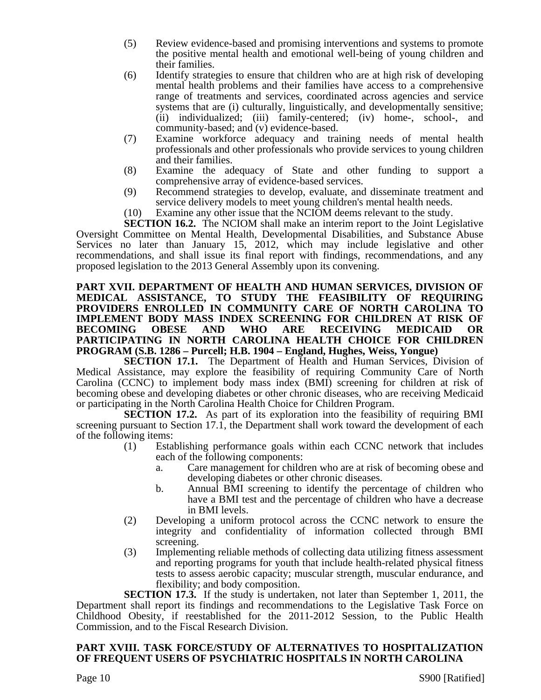- (5) Review evidence-based and promising interventions and systems to promote the positive mental health and emotional well-being of young children and their families.
- (6) Identify strategies to ensure that children who are at high risk of developing mental health problems and their families have access to a comprehensive range of treatments and services, coordinated across agencies and service systems that are (i) culturally, linguistically, and developmentally sensitive; (ii) individualized; (iii) family-centered; (iv) home-, school-, and community-based; and (v) evidence-based.
- (7) Examine workforce adequacy and training needs of mental health professionals and other professionals who provide services to young children and their families.
- (8) Examine the adequacy of State and other funding to support a comprehensive array of evidence-based services.
- (9) Recommend strategies to develop, evaluate, and disseminate treatment and service delivery models to meet young children's mental health needs.
- (10) Examine any other issue that the NCIOM deems relevant to the study.

**SECTION 16.2.** The NCIOM shall make an interim report to the Joint Legislative Oversight Committee on Mental Health, Developmental Disabilities, and Substance Abuse Services no later than January 15, 2012, which may include legislative and other recommendations, and shall issue its final report with findings, recommendations, and any proposed legislation to the 2013 General Assembly upon its convening.

#### **PART XVII. DEPARTMENT OF HEALTH AND HUMAN SERVICES, DIVISION OF MEDICAL ASSISTANCE, TO STUDY THE FEASIBILITY OF REQUIRING PROVIDERS ENROLLED IN COMMUNITY CARE OF NORTH CAROLINA TO IMPLEMENT BODY MASS INDEX SCREENING FOR CHILDREN AT RISK OF BECOMING OBESE AND WHO ARE RECEIVING MEDICAID OR PARTICIPATING IN NORTH CAROLINA HEALTH CHOICE FOR CHILDREN PROGRAM (S.B. 1286 – Purcell; H.B. 1904 – England, Hughes, Weiss, Yongue)**

**SECTION 17.1.** The Department of Health and Human Services, Division of Medical Assistance, may explore the feasibility of requiring Community Care of North Carolina (CCNC) to implement body mass index (BMI) screening for children at risk of becoming obese and developing diabetes or other chronic diseases, who are receiving Medicaid or participating in the North Carolina Health Choice for Children Program.

**SECTION 17.2.** As part of its exploration into the feasibility of requiring BMI screening pursuant to Section 17.1, the Department shall work toward the development of each of the following items:

- (1) Establishing performance goals within each CCNC network that includes each of the following components:
	- a. Care management for children who are at risk of becoming obese and developing diabetes or other chronic diseases.
	- b. Annual BMI screening to identify the percentage of children who have a BMI test and the percentage of children who have a decrease in BMI levels.
- (2) Developing a uniform protocol across the CCNC network to ensure the integrity and confidentiality of information collected through BMI screening.
- (3) Implementing reliable methods of collecting data utilizing fitness assessment and reporting programs for youth that include health-related physical fitness tests to assess aerobic capacity; muscular strength, muscular endurance, and flexibility; and body composition.

**SECTION 17.3.** If the study is undertaken, not later than September 1, 2011, the Department shall report its findings and recommendations to the Legislative Task Force on Childhood Obesity, if reestablished for the 2011-2012 Session, to the Public Health Commission, and to the Fiscal Research Division.

#### **PART XVIII. TASK FORCE/STUDY OF ALTERNATIVES TO HOSPITALIZATION OF FREQUENT USERS OF PSYCHIATRIC HOSPITALS IN NORTH CAROLINA**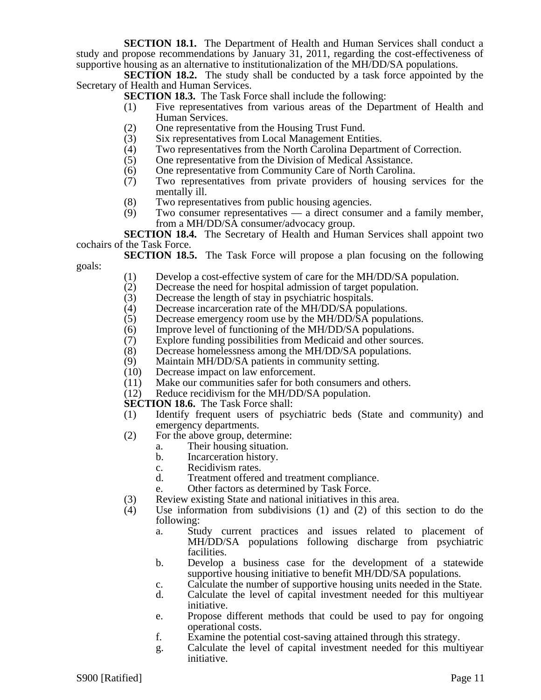**SECTION 18.1.** The Department of Health and Human Services shall conduct a study and propose recommendations by January 31, 2011, regarding the cost-effectiveness of supportive housing as an alternative to institutionalization of the MH/DD/SA populations.

**SECTION 18.2.** The study shall be conducted by a task force appointed by the Secretary of Health and Human Services.

- **SECTION 18.3.** The Task Force shall include the following:
	- (1) Five representatives from various areas of the Department of Health and Human Services.
	- (2) One representative from the Housing Trust Fund.<br>
	(3) Six representatives from Local Management Entit
	- Six representatives from Local Management Entities.
	- (4) Two representatives from the North Carolina Department of Correction.<br>
	(5) One representative from the Division of Medical Assistance.
	- One representative from the Division of Medical Assistance.
	- (6) One representative from Community Care of North Carolina.<br>(7) Two representatives from private providers of housing s
	- Two representatives from private providers of housing services for the mentally ill.
	- (8) Two representatives from public housing agencies.
- (9) Two consumer representatives a direct consumer and a family member, from a MH/DD/SA consumer/advocacy group.

**SECTION 18.4.** The Secretary of Health and Human Services shall appoint two cochairs of the Task Force.

**SECTION 18.5.** The Task Force will propose a plan focusing on the following goals:

- (1) Develop a cost-effective system of care for the MH/DD/SA population.
- (2) Decrease the need for hospital admission of target population.<br>(3) Decrease the length of stay in psychiatric hospitals.
- Decrease the length of stay in psychiatric hospitals.
- (4) Decrease incarceration rate of the MH/DD/SA populations.
- (5) Decrease emergency room use by the MH/DD/SA populations.
- (6) Improve level of functioning of the MH/DD/SA populations.<br>(7) Explore funding possibilities from Medicaid and other source
- (7) Explore funding possibilities from Medicaid and other sources.<br>(8) Decrease homelessness among the MH/DD/SA populations.
- (8) Decrease homelessness among the MH/DD/SA populations.<br>(9) Maintain MH/DD/SA patients in community setting.
- (9) Maintain MH/DD/SA patients in community setting.<br>(10) Decrease impact on law enforcement.
- Decrease impact on law enforcement.
- (11) Make our communities safer for both consumers and others.
- (12) Reduce recidivism for the MH/DD/SA population.

**SECTION 18.6.** The Task Force shall:

- (1) Identify frequent users of psychiatric beds (State and community) and emergency departments.
- (2) For the above group, determine:
	- a. Their housing situation.
	- b. Incarceration history.
	- c. Recidivism rates.
	- d. Treatment offered and treatment compliance.
	- e. Other factors as determined by Task Force.
- (3) Review existing State and national initiatives in this area.<br>(4) Use information from subdivisions (1) and (2) of this
- Use information from subdivisions  $(1)$  and  $(2)$  of this section to do the following:
	- a. Study current practices and issues related to placement of MH/DD/SA populations following discharge from psychiatric facilities.
	- b. Develop a business case for the development of a statewide supportive housing initiative to benefit MH/DD/SA populations.
	- c. Calculate the number of supportive housing units needed in the State.
	- d. Calculate the level of capital investment needed for this multiyear initiative.
	- e. Propose different methods that could be used to pay for ongoing operational costs.
	- f. Examine the potential cost-saving attained through this strategy.
	- g. Calculate the level of capital investment needed for this multiyear initiative.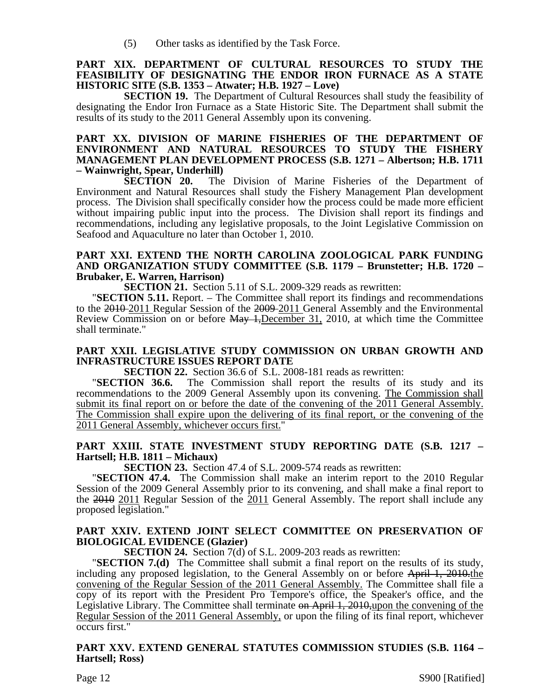(5) Other tasks as identified by the Task Force.

#### **PART XIX. DEPARTMENT OF CULTURAL RESOURCES TO STUDY THE FEASIBILITY OF DESIGNATING THE ENDOR IRON FURNACE AS A STATE HISTORIC SITE (S.B. 1353 – Atwater; H.B. 1927 – Love)**

**SECTION 19.** The Department of Cultural Resources shall study the feasibility of designating the Endor Iron Furnace as a State Historic Site. The Department shall submit the results of its study to the 2011 General Assembly upon its convening.

# **PART XX. DIVISION OF MARINE FISHERIES OF THE DEPARTMENT OF ENVIRONMENT AND NATURAL RESOURCES TO STUDY THE FISHERY MANAGEMENT PLAN DEVELOPMENT PROCESS (S.B. 1271 – Albertson; H.B. 1711 – Wainwright, Spear, Underhill)**

The Division of Marine Fisheries of the Department of Environment and Natural Resources shall study the Fishery Management Plan development process. The Division shall specifically consider how the process could be made more efficient without impairing public input into the process. The Division shall report its findings and recommendations, including any legislative proposals, to the Joint Legislative Commission on Seafood and Aquaculture no later than October 1, 2010.

#### **PART XXI. EXTEND THE NORTH CAROLINA ZOOLOGICAL PARK FUNDING AND ORGANIZATION STUDY COMMITTEE (S.B. 1179 – Brunstetter; H.B. 1720 – Brubaker, E. Warren, Harrison)**

**SECTION 21.** Section 5.11 of S.L. 2009-329 reads as rewritten:

"**SECTION 5.11.** Report. – The Committee shall report its findings and recommendations to the 2010 2011 Regular Session of the 2009 2011 General Assembly and the Environmental Review Commission on or before May 1, December 31, 2010, at which time the Committee shall terminate."

#### **PART XXII. LEGISLATIVE STUDY COMMISSION ON URBAN GROWTH AND INFRASTRUCTURE ISSUES REPORT DATE**

**SECTION 22.** Section 36.6 of S.L. 2008-181 reads as rewritten:<br>**SECTION 36.6.** The Commission shall report the results of i The Commission shall report the results of its study and its recommendations to the 2009 General Assembly upon its convening. The Commission shall submit its final report on or before the date of the convening of the 2011 General Assembly. The Commission shall expire upon the delivering of its final report, or the convening of the 2011 General Assembly, whichever occurs first."

# **PART XXIII. STATE INVESTMENT STUDY REPORTING DATE (S.B. 1217 – Hartsell; H.B. 1811 – Michaux)**<br>**SECTION 23.** Section 47.4 of S.L. 2009-574 reads as rewritten:

**SECTION 47.4.** The Commission shall make an interim report to the 2010 Regular Session of the 2009 General Assembly prior to its convening, and shall make a final report to the 2010 2011 Regular Session of the 2011 General Assembly. The report shall include any proposed legislation."

#### **PART XXIV. EXTEND JOINT SELECT COMMITTEE ON PRESERVATION OF BIOLOGICAL EVIDENCE (Glazier)**

**SECTION 24.** Section 7(d) of S.L. 2009-203 reads as rewritten:

"**SECTION 7.(d)** The Committee shall submit a final report on the results of its study, including any proposed legislation, to the General Assembly on or before April 1, 2010.the convening of the Regular Session of the 2011 General Assembly. The Committee shall file a copy of its report with the President Pro Tempore's office, the Speaker's office, and the Legislative Library. The Committee shall terminate on April 1, 2010,upon the convening of the Regular Session of the 2011 General Assembly, or upon the filing of its final report, whichever occurs first."

#### **PART XXV. EXTEND GENERAL STATUTES COMMISSION STUDIES (S.B. 1164 – Hartsell; Ross)**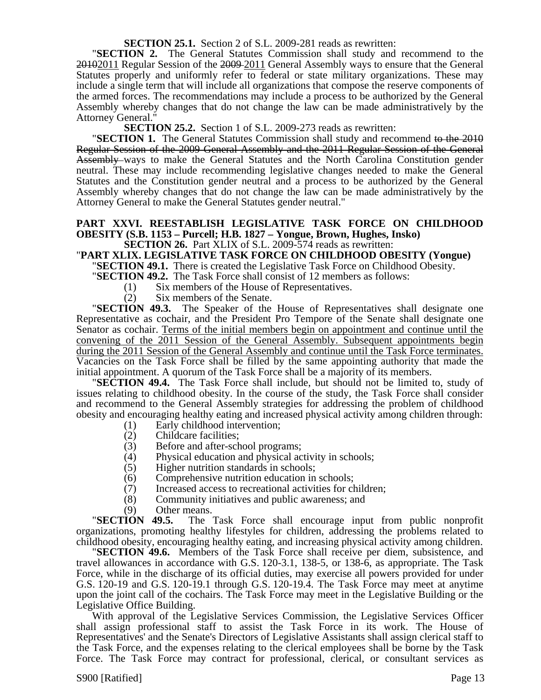#### **SECTION 25.1.** Section 2 of S.L. 2009-281 reads as rewritten:

"**SECTION 2.** The General Statutes Commission shall study and recommend to the 20102011 Regular Session of the 2009 2011 General Assembly ways to ensure that the General Statutes properly and uniformly refer to federal or state military organizations. These may include a single term that will include all organizations that compose the reserve components of the armed forces. The recommendations may include a process to be authorized by the General Assembly whereby changes that do not change the law can be made administratively by the Attorney General."

**SECTION 25.2.** Section 1 of S.L. 2009-273 reads as rewritten:

**"SECTION 1.** The General Statutes Commission shall study and recommend to the 2010 Regular Session of the 2009 General Assembly and the 2011 Regular Session of the General Assembly ways to make the General Statutes and the North Carolina Constitution gender neutral. These may include recommending legislative changes needed to make the General Statutes and the Constitution gender neutral and a process to be authorized by the General Assembly whereby changes that do not change the law can be made administratively by the Attorney General to make the General Statutes gender neutral."

## **PART XXVI. REESTABLISH LEGISLATIVE TASK FORCE ON CHILDHOOD OBESITY (S.B. 1153 – Purcell; H.B. 1827 – Yongue, Brown, Hughes, Insko)**

#### **SECTION 26.** Part XLIX of S.L. 2009-574 reads as rewritten:

#### "**PART XLIX. LEGISLATIVE TASK FORCE ON CHILDHOOD OBESITY (Yongue)**

"**SECTION 49.1.** There is created the Legislative Task Force on Childhood Obesity.

"**SECTION 49.2.** The Task Force shall consist of 12 members as follows:

- (1) Six members of the House of Representatives.
- (2) Six members of the Senate.

"**SECTION 49.3.** The Speaker of the House of Representatives shall designate one Representative as cochair, and the President Pro Tempore of the Senate shall designate one Senator as cochair. Terms of the initial members begin on appointment and continue until the convening of the 2011 Session of the General Assembly. Subsequent appointments begin during the 2011 Session of the General Assembly and continue until the Task Force terminates. Vacancies on the Task Force shall be filled by the same appointing authority that made the initial appointment. A quorum of the Task Force shall be a majority of its members.

"**SECTION 49.4.** The Task Force shall include, but should not be limited to, study of issues relating to childhood obesity. In the course of the study, the Task Force shall consider and recommend to the General Assembly strategies for addressing the problem of childhood obesity and encouraging healthy eating and increased physical activity among children through:

- (1) Early childhood intervention;
- (2) Childcare facilities;
- (3) Before and after-school programs;<br>(4) Physical education and physical ac
- (4) Physical education and physical activity in schools;<br>(5) Higher nutrition standards in schools;
- Higher nutrition standards in schools;
- 
- (6) Comprehensive nutrition education in schools;<br>(7) Increased access to recreational activities for ch Increased access to recreational activities for children;
- (8) Community initiatives and public awareness; and
- 

(9) Other means. "**SECTION 49.5.** The Task Force shall encourage input from public nonprofit organizations, promoting healthy lifestyles for children, addressing the problems related to childhood obesity, encouraging healthy eating, and increasing physical activity among children.

"**SECTION 49.6.** Members of the Task Force shall receive per diem, subsistence, and travel allowances in accordance with G.S. 120-3.1, 138-5, or 138-6, as appropriate. The Task Force, while in the discharge of its official duties, may exercise all powers provided for under G.S. 120-19 and G.S. 120-19.1 through G.S. 120-19.4. The Task Force may meet at anytime upon the joint call of the cochairs. The Task Force may meet in the Legislative Building or the Legislative Office Building.

With approval of the Legislative Services Commission, the Legislative Services Officer shall assign professional staff to assist the Task Force in its work. The House of Representatives' and the Senate's Directors of Legislative Assistants shall assign clerical staff to the Task Force, and the expenses relating to the clerical employees shall be borne by the Task Force. The Task Force may contract for professional, clerical, or consultant services as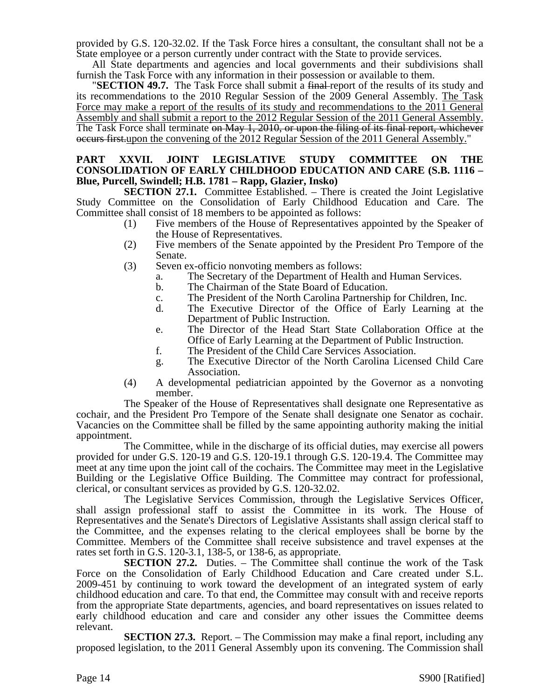provided by G.S. 120-32.02. If the Task Force hires a consultant, the consultant shall not be a State employee or a person currently under contract with the State to provide services.

All State departments and agencies and local governments and their subdivisions shall furnish the Task Force with any information in their possession or available to them.

**SECTION 49.7.** The Task Force shall submit a final report of the results of its study and its recommendations to the 2010 Regular Session of the 2009 General Assembly. The Task Force may make a report of the results of its study and recommendations to the 2011 General Assembly and shall submit a report to the 2012 Regular Session of the 2011 General Assembly. The Task Force shall terminate on May 1, 2010, or upon the filing of its final report, whichever occurs first.upon the convening of the 2012 Regular Session of the 2011 General Assembly."

#### **PART XXVII. JOINT LEGISLATIVE STUDY COMMITTEE ON THE CONSOLIDATION OF EARLY CHILDHOOD EDUCATION AND CARE (S.B. 1116 – Blue, Purcell, Swindell; H.B. 1781 – Rapp, Glazier, Insko)**

**SECTION 27.1.** Committee Established. – There is created the Joint Legislative Study Committee on the Consolidation of Early Childhood Education and Care. The Committee shall consist of 18 members to be appointed as follows:

- (1) Five members of the House of Representatives appointed by the Speaker of the House of Representatives.
- (2) Five members of the Senate appointed by the President Pro Tempore of the Senate.
- (3) Seven ex-officio nonvoting members as follows:
	- a. The Secretary of the Department of Health and Human Services.
	- b. The Chairman of the State Board of Education.
	- c. The President of the North Carolina Partnership for Children, Inc.
	- d. The Executive Director of the Office of Early Learning at the Department of Public Instruction.
	- e. The Director of the Head Start State Collaboration Office at the Office of Early Learning at the Department of Public Instruction.
	- f. The President of the Child Care Services Association.
	- g. The Executive Director of the North Carolina Licensed Child Care Association.
- (4) A developmental pediatrician appointed by the Governor as a nonvoting member.

The Speaker of the House of Representatives shall designate one Representative as cochair, and the President Pro Tempore of the Senate shall designate one Senator as cochair. Vacancies on the Committee shall be filled by the same appointing authority making the initial appointment.

The Committee, while in the discharge of its official duties, may exercise all powers provided for under G.S. 120-19 and G.S. 120-19.1 through G.S. 120-19.4. The Committee may meet at any time upon the joint call of the cochairs. The Committee may meet in the Legislative Building or the Legislative Office Building. The Committee may contract for professional, clerical, or consultant services as provided by G.S. 120-32.02.

The Legislative Services Commission, through the Legislative Services Officer, shall assign professional staff to assist the Committee in its work. The House of Representatives and the Senate's Directors of Legislative Assistants shall assign clerical staff to the Committee, and the expenses relating to the clerical employees shall be borne by the Committee. Members of the Committee shall receive subsistence and travel expenses at the rates set forth in G.S. 120-3.1, 138-5, or 138-6, as appropriate.

**SECTION 27.2.** Duties. – The Committee shall continue the work of the Task Force on the Consolidation of Early Childhood Education and Care created under S.L. 2009-451 by continuing to work toward the development of an integrated system of early childhood education and care. To that end, the Committee may consult with and receive reports from the appropriate State departments, agencies, and board representatives on issues related to early childhood education and care and consider any other issues the Committee deems relevant.

**SECTION 27.3.** Report. – The Commission may make a final report, including any proposed legislation, to the 2011 General Assembly upon its convening. The Commission shall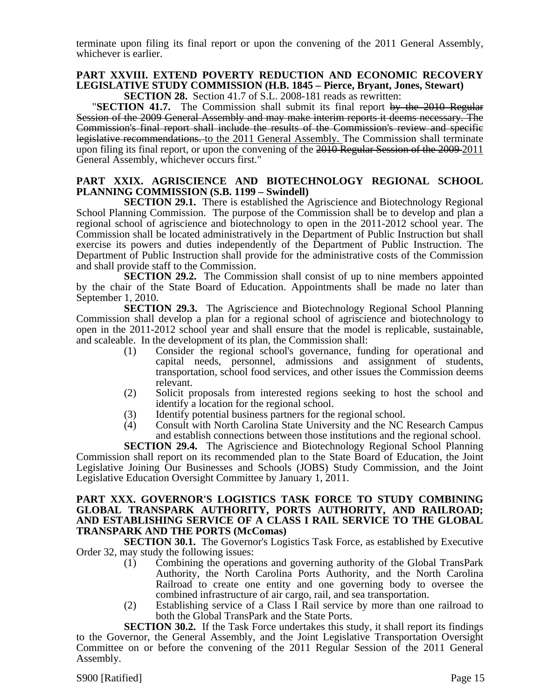terminate upon filing its final report or upon the convening of the 2011 General Assembly, whichever is earlier.

# **PART XXVIII. EXTEND POVERTY REDUCTION AND ECONOMIC RECOVERY LEGISLATIVE STUDY COMMISSION (H.B. 1845 – Pierce, Bryant, Jones, Stewart)**

**SECTION 28.** Section 41.7 of S.L. 2008-181 reads as rewritten:

**"SECTION 41.7.** The Commission shall submit its final report by the 2010 Regular Session of the 2009 General Assembly and may make interim reports it deems necessary. The Commission's final report shall include the results of the Commission's review and specific legislative recommendations. to the 2011 General Assembly. The Commission shall terminate upon filing its final report, or upon the convening of the 2010 Regular Session of the 2009-2011 General Assembly, whichever occurs first."

#### **PART XXIX. AGRISCIENCE AND BIOTECHNOLOGY REGIONAL SCHOOL PLANNING COMMISSION (S.B. 1199 – Swindell)**

**SECTION 29.1.** There is established the Agriscience and Biotechnology Regional School Planning Commission. The purpose of the Commission shall be to develop and plan a regional school of agriscience and biotechnology to open in the 2011-2012 school year. The Commission shall be located administratively in the Department of Public Instruction but shall exercise its powers and duties independently of the Department of Public Instruction. The Department of Public Instruction shall provide for the administrative costs of the Commission and shall provide staff to the Commission.

**SECTION 29.2.** The Commission shall consist of up to nine members appointed by the chair of the State Board of Education. Appointments shall be made no later than September 1, 2010.

**SECTION 29.3.** The Agriscience and Biotechnology Regional School Planning Commission shall develop a plan for a regional school of agriscience and biotechnology to open in the 2011-2012 school year and shall ensure that the model is replicable, sustainable, and scaleable. In the development of its plan, the Commission shall:

- (1) Consider the regional school's governance, funding for operational and capital needs, personnel, admissions and assignment of students, transportation, school food services, and other issues the Commission deems relevant.
- (2) Solicit proposals from interested regions seeking to host the school and identify a location for the regional school.
- (3) Identify potential business partners for the regional school.
- (4) Consult with North Carolina State University and the NC Research Campus and establish connections between those institutions and the regional school.

**SECTION 29.4.** The Agriscience and Biotechnology Regional School Planning Commission shall report on its recommended plan to the State Board of Education, the Joint Legislative Joining Our Businesses and Schools (JOBS) Study Commission, and the Joint Legislative Education Oversight Committee by January 1, 2011.

#### **PART XXX. GOVERNOR'S LOGISTICS TASK FORCE TO STUDY COMBINING GLOBAL TRANSPARK AUTHORITY, PORTS AUTHORITY, AND RAILROAD; AND ESTABLISHING SERVICE OF A CLASS I RAIL SERVICE TO THE GLOBAL TRANSPARK AND THE PORTS (McComas)**

**SECTION 30.1.** The Governor's Logistics Task Force, as established by Executive Order 32, may study the following issues:

- (1) Combining the operations and governing authority of the Global TransPark Authority, the North Carolina Ports Authority, and the North Carolina Railroad to create one entity and one governing body to oversee the combined infrastructure of air cargo, rail, and sea transportation.
- (2) Establishing service of a Class I Rail service by more than one railroad to both the Global TransPark and the State Ports.

**SECTION 30.2.** If the Task Force undertakes this study, it shall report its findings to the Governor, the General Assembly, and the Joint Legislative Transportation Oversight Committee on or before the convening of the 2011 Regular Session of the 2011 General Assembly.

S900 [Ratified] Page 15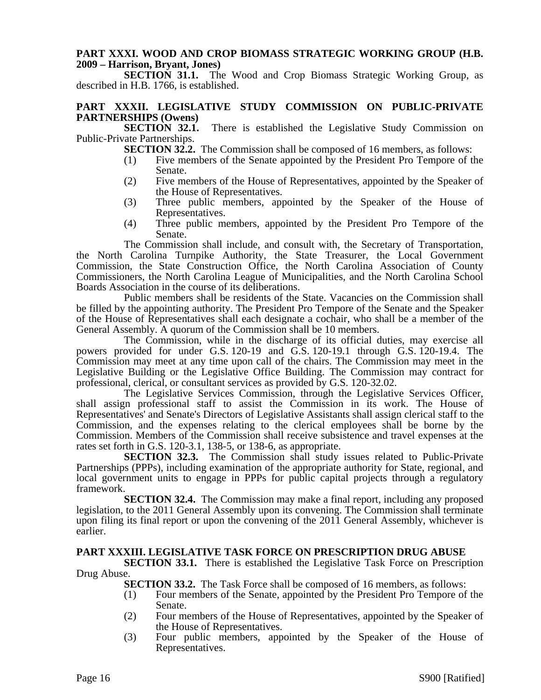#### **PART XXXI. WOOD AND CROP BIOMASS STRATEGIC WORKING GROUP (H.B. 2009 – Harrison, Bryant, Jones)**

**SECTION 31.1.** The Wood and Crop Biomass Strategic Working Group, as described in H.B. 1766, is established.

# **PART XXXII. LEGISLATIVE STUDY COMMISSION ON PUBLIC-PRIVATE PARTNERSHIPS (Owens)**<br>**SECTION 32.1.**

There is established the Legislative Study Commission on Public-Private Partnerships.

**SECTION 32.2.** The Commission shall be composed of 16 members, as follows:

- (1) Five members of the Senate appointed by the President Pro Tempore of the Senate.
- (2) Five members of the House of Representatives, appointed by the Speaker of the House of Representatives.
- (3) Three public members, appointed by the Speaker of the House of Representatives.
- (4) Three public members, appointed by the President Pro Tempore of the Senate.

The Commission shall include, and consult with, the Secretary of Transportation, the North Carolina Turnpike Authority, the State Treasurer, the Local Government Commission, the State Construction Office, the North Carolina Association of County Commissioners, the North Carolina League of Municipalities, and the North Carolina School Boards Association in the course of its deliberations.

Public members shall be residents of the State. Vacancies on the Commission shall be filled by the appointing authority. The President Pro Tempore of the Senate and the Speaker of the House of Representatives shall each designate a cochair, who shall be a member of the General Assembly. A quorum of the Commission shall be 10 members.

The Commission, while in the discharge of its official duties, may exercise all powers provided for under G.S. 120-19 and G.S. 120-19.1 through G.S. 120-19.4. The Commission may meet at any time upon call of the chairs. The Commission may meet in the Legislative Building or the Legislative Office Building. The Commission may contract for professional, clerical, or consultant services as provided by G.S. 120-32.02.

The Legislative Services Commission, through the Legislative Services Officer, shall assign professional staff to assist the Commission in its work. The House of Representatives' and Senate's Directors of Legislative Assistants shall assign clerical staff to the Commission, and the expenses relating to the clerical employees shall be borne by the Commission. Members of the Commission shall receive subsistence and travel expenses at the rates set forth in G.S. 120-3.1, 138-5, or 138-6, as appropriate.

**SECTION 32.3.** The Commission shall study issues related to Public-Private Partnerships (PPPs), including examination of the appropriate authority for State, regional, and local government units to engage in PPPs for public capital projects through a regulatory framework.

**SECTION 32.4.** The Commission may make a final report, including any proposed legislation, to the 2011 General Assembly upon its convening. The Commission shall terminate upon filing its final report or upon the convening of the 2011 General Assembly, whichever is earlier.

#### **PART XXXIII. LEGISLATIVE TASK FORCE ON PRESCRIPTION DRUG ABUSE**

**SECTION 33.1.** There is established the Legislative Task Force on Prescription Drug Abuse.

**SECTION 33.2.** The Task Force shall be composed of 16 members, as follows:

- (1) Four members of the Senate, appointed by the President Pro Tempore of the Senate.
- (2) Four members of the House of Representatives, appointed by the Speaker of the House of Representatives.
- (3) Four public members, appointed by the Speaker of the House of Representatives.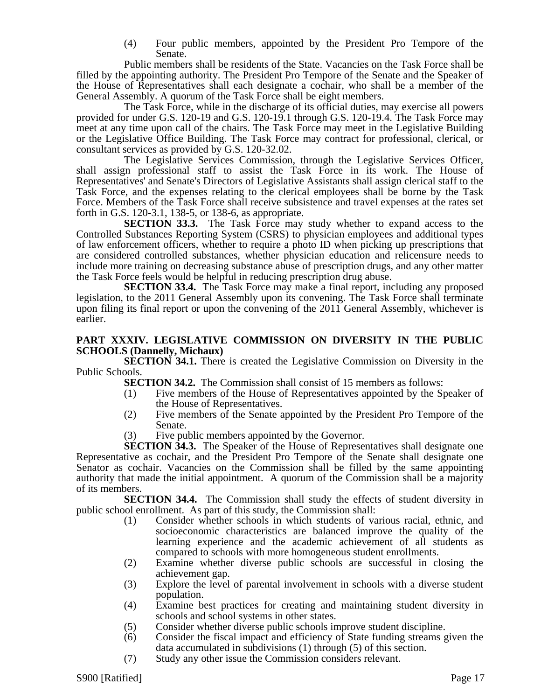(4) Four public members, appointed by the President Pro Tempore of the Senate.

Public members shall be residents of the State. Vacancies on the Task Force shall be filled by the appointing authority. The President Pro Tempore of the Senate and the Speaker of the House of Representatives shall each designate a cochair, who shall be a member of the General Assembly. A quorum of the Task Force shall be eight members.

The Task Force, while in the discharge of its official duties, may exercise all powers provided for under G.S. 120-19 and G.S. 120-19.1 through G.S. 120-19.4. The Task Force may meet at any time upon call of the chairs. The Task Force may meet in the Legislative Building or the Legislative Office Building. The Task Force may contract for professional, clerical, or consultant services as provided by G.S. 120-32.02.

The Legislative Services Commission, through the Legislative Services Officer, shall assign professional staff to assist the Task Force in its work. The House of Representatives' and Senate's Directors of Legislative Assistants shall assign clerical staff to the Task Force, and the expenses relating to the clerical employees shall be borne by the Task Force. Members of the Task Force shall receive subsistence and travel expenses at the rates set forth in G.S. 120-3.1, 138-5, or 138-6, as appropriate.

**SECTION 33.3.** The Task Force may study whether to expand access to the Controlled Substances Reporting System (CSRS) to physician employees and additional types of law enforcement officers, whether to require a photo ID when picking up prescriptions that are considered controlled substances, whether physician education and relicensure needs to include more training on decreasing substance abuse of prescription drugs, and any other matter the Task Force feels would be helpful in reducing prescription drug abuse.

**SECTION 33.4.** The Task Force may make a final report, including any proposed legislation, to the 2011 General Assembly upon its convening. The Task Force shall terminate upon filing its final report or upon the convening of the 2011 General Assembly, whichever is earlier.

#### **PART XXXIV. LEGISLATIVE COMMISSION ON DIVERSITY IN THE PUBLIC SCHOOLS (Dannelly, Michaux)**

**SECTION 34.1.** There is created the Legislative Commission on Diversity in the Public Schools.

**SECTION 34.2.** The Commission shall consist of 15 members as follows:

- (1) Five members of the House of Representatives appointed by the Speaker of the House of Representatives.
- (2) Five members of the Senate appointed by the President Pro Tempore of the Senate.
- (3) Five public members appointed by the Governor.

**SECTION 34.3.** The Speaker of the House of Representatives shall designate one Representative as cochair, and the President Pro Tempore of the Senate shall designate one Senator as cochair. Vacancies on the Commission shall be filled by the same appointing authority that made the initial appointment. A quorum of the Commission shall be a majority of its members.

**SECTION 34.4.** The Commission shall study the effects of student diversity in public school enrollment. As part of this study, the Commission shall:

- (1) Consider whether schools in which students of various racial, ethnic, and socioeconomic characteristics are balanced improve the quality of the learning experience and the academic achievement of all students as compared to schools with more homogeneous student enrollments.
- (2) Examine whether diverse public schools are successful in closing the achievement gap.
- (3) Explore the level of parental involvement in schools with a diverse student population.
- (4) Examine best practices for creating and maintaining student diversity in schools and school systems in other states.
- (5) Consider whether diverse public schools improve student discipline.
- (6) Consider the fiscal impact and efficiency of State funding streams given the data accumulated in subdivisions (1) through (5) of this section.
- (7) Study any other issue the Commission considers relevant.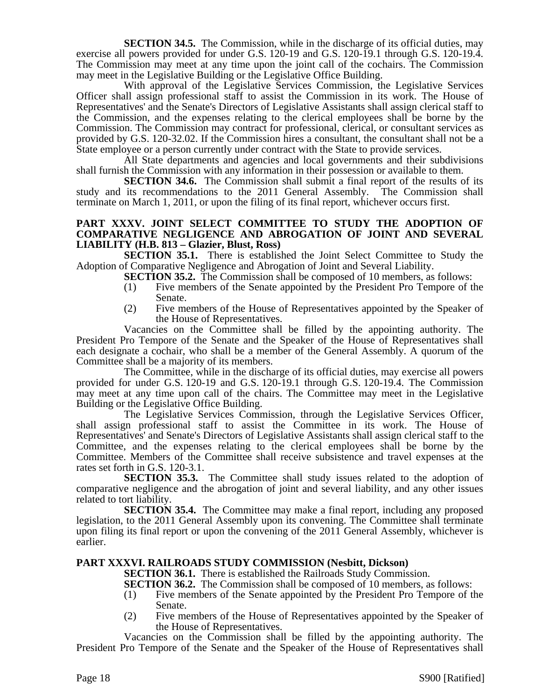**SECTION 34.5.** The Commission, while in the discharge of its official duties, may exercise all powers provided for under G.S. 120-19 and G.S. 120-19.1 through G.S. 120-19.4. The Commission may meet at any time upon the joint call of the cochairs. The Commission may meet in the Legislative Building or the Legislative Office Building.

With approval of the Legislative Services Commission, the Legislative Services Officer shall assign professional staff to assist the Commission in its work. The House of Representatives' and the Senate's Directors of Legislative Assistants shall assign clerical staff to the Commission, and the expenses relating to the clerical employees shall be borne by the Commission. The Commission may contract for professional, clerical, or consultant services as provided by G.S. 120-32.02. If the Commission hires a consultant, the consultant shall not be a State employee or a person currently under contract with the State to provide services.

All State departments and agencies and local governments and their subdivisions shall furnish the Commission with any information in their possession or available to them.

**SECTION 34.6.** The Commission shall submit a final report of the results of its study and its recommendations to the 2011 General Assembly. The Commission shall terminate on March 1, 2011, or upon the filing of its final report, whichever occurs first.

#### **PART XXXV. JOINT SELECT COMMITTEE TO STUDY THE ADOPTION OF COMPARATIVE NEGLIGENCE AND ABROGATION OF JOINT AND SEVERAL LIABILITY (H.B. 813 – Glazier, Blust, Ross)**

**SECTION 35.1.** There is established the Joint Select Committee to Study the Adoption of Comparative Negligence and Abrogation of Joint and Several Liability.

**SECTION 35.2.** The Commission shall be composed of 10 members, as follows:

- (1) Five members of the Senate appointed by the President Pro Tempore of the Senate.
- (2) Five members of the House of Representatives appointed by the Speaker of the House of Representatives.

Vacancies on the Committee shall be filled by the appointing authority. The President Pro Tempore of the Senate and the Speaker of the House of Representatives shall each designate a cochair, who shall be a member of the General Assembly. A quorum of the Committee shall be a majority of its members.

The Committee, while in the discharge of its official duties, may exercise all powers provided for under G.S. 120-19 and G.S. 120-19.1 through G.S. 120-19.4. The Commission may meet at any time upon call of the chairs. The Committee may meet in the Legislative Building or the Legislative Office Building.

The Legislative Services Commission, through the Legislative Services Officer, shall assign professional staff to assist the Committee in its work. The House of Representatives' and Senate's Directors of Legislative Assistants shall assign clerical staff to the Committee, and the expenses relating to the clerical employees shall be borne by the Committee. Members of the Committee shall receive subsistence and travel expenses at the rates set forth in G.S. 120-3.1.

**SECTION 35.3.** The Committee shall study issues related to the adoption of comparative negligence and the abrogation of joint and several liability, and any other issues related to tort liability.

**SECTION 35.4.** The Committee may make a final report, including any proposed legislation, to the 2011 General Assembly upon its convening. The Committee shall terminate upon filing its final report or upon the convening of the 2011 General Assembly, whichever is earlier.

#### **PART XXXVI. RAILROADS STUDY COMMISSION (Nesbitt, Dickson)**

**SECTION 36.1.** There is established the Railroads Study Commission.

**SECTION 36.2.** The Commission shall be composed of 10 members, as follows:

- (1) Five members of the Senate appointed by the President Pro Tempore of the Senate.
- (2) Five members of the House of Representatives appointed by the Speaker of the House of Representatives.

Vacancies on the Commission shall be filled by the appointing authority. The President Pro Tempore of the Senate and the Speaker of the House of Representatives shall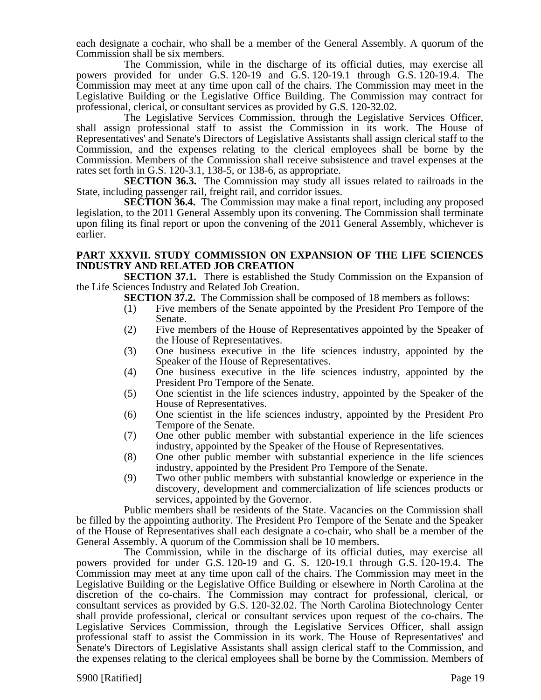each designate a cochair, who shall be a member of the General Assembly. A quorum of the Commission shall be six members.

The Commission, while in the discharge of its official duties, may exercise all powers provided for under G.S. 120-19 and G.S. 120-19.1 through G.S. 120-19.4. The Commission may meet at any time upon call of the chairs. The Commission may meet in the Legislative Building or the Legislative Office Building. The Commission may contract for professional, clerical, or consultant services as provided by G.S. 120-32.02.

The Legislative Services Commission, through the Legislative Services Officer, shall assign professional staff to assist the Commission in its work. The House of Representatives' and Senate's Directors of Legislative Assistants shall assign clerical staff to the Commission, and the expenses relating to the clerical employees shall be borne by the Commission. Members of the Commission shall receive subsistence and travel expenses at the rates set forth in G.S. 120-3.1, 138-5, or 138-6, as appropriate.

**SECTION 36.3.** The Commission may study all issues related to railroads in the State, including passenger rail, freight rail, and corridor issues.

**SECTION 36.4.** The Commission may make a final report, including any proposed legislation, to the 2011 General Assembly upon its convening. The Commission shall terminate upon filing its final report or upon the convening of the 2011 General Assembly, whichever is earlier.

#### **PART XXXVII. STUDY COMMISSION ON EXPANSION OF THE LIFE SCIENCES INDUSTRY AND RELATED JOB CREATION**

**SECTION 37.1.** There is established the Study Commission on the Expansion of the Life Sciences Industry and Related Job Creation.

**SECTION 37.2.** The Commission shall be composed of 18 members as follows:

- (1) Five members of the Senate appointed by the President Pro Tempore of the Senate.
- (2) Five members of the House of Representatives appointed by the Speaker of the House of Representatives.
- (3) One business executive in the life sciences industry, appointed by the Speaker of the House of Representatives.
- (4) One business executive in the life sciences industry, appointed by the President Pro Tempore of the Senate.
- (5) One scientist in the life sciences industry, appointed by the Speaker of the House of Representatives.
- (6) One scientist in the life sciences industry, appointed by the President Pro Tempore of the Senate.
- (7) One other public member with substantial experience in the life sciences industry, appointed by the Speaker of the House of Representatives.
- (8) One other public member with substantial experience in the life sciences industry, appointed by the President Pro Tempore of the Senate.
- (9) Two other public members with substantial knowledge or experience in the discovery, development and commercialization of life sciences products or services, appointed by the Governor.

Public members shall be residents of the State. Vacancies on the Commission shall be filled by the appointing authority. The President Pro Tempore of the Senate and the Speaker of the House of Representatives shall each designate a co-chair, who shall be a member of the General Assembly. A quorum of the Commission shall be 10 members.

The Commission, while in the discharge of its official duties, may exercise all powers provided for under G.S. 120-19 and G. S. 120-19.1 through G.S. 120-19.4. The Commission may meet at any time upon call of the chairs. The Commission may meet in the Legislative Building or the Legislative Office Building or elsewhere in North Carolina at the discretion of the co-chairs. The Commission may contract for professional, clerical, or consultant services as provided by G.S. 120-32.02. The North Carolina Biotechnology Center shall provide professional, clerical or consultant services upon request of the co-chairs. The Legislative Services Commission, through the Legislative Services Officer, shall assign professional staff to assist the Commission in its work. The House of Representatives' and Senate's Directors of Legislative Assistants shall assign clerical staff to the Commission, and the expenses relating to the clerical employees shall be borne by the Commission. Members of